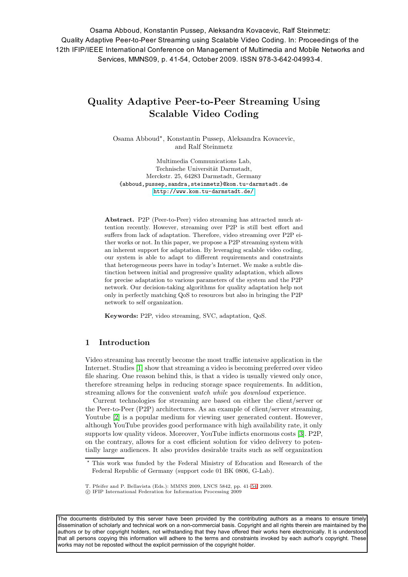Osama Abboud, Konstantin Pussep, Aleksandra Kovacevic, Ralf Steinmetz: Quality Adaptive Peer-to-Peer Streaming using Scalable Video Coding. In: Proceedings of the 12th IFIP/IEEE International Conference on Management of Multimedia and Mobile Networks and Services, MMNS09, p. 41-54, October 2009. ISSN 978-3-642-04993-4.

# Quality Adaptive Peer-to-Peer Streaming Using Scalable Video Coding

Osama Abboud\*, Konstantin Pussep, Aleksandra Kovacevic, and Ralf Steinmetz

Multimedia Communications Lab, Technische Universität Darmstadt, Merckstr. 25, 64283 Darmstadt, Germany {abboud,pussep,sandra,steinmetz}@kom.tu-darmstadt.de <http://www.kom.tu-darmstadt.de/>

Abstract. P2P (Peer-to-Peer) video streaming has attracted much attention recently. However, streaming over P2P is still best effort and suffers from lack of adaptation. Therefore, video streaming over P2P either works or not. In this paper, we propose a P2P streaming system with an inherent support for adaptation. By leveraging scalable video coding, our system is able to adapt to different requirements and constraints that heterogeneous peers have in today's Internet. We make a subtle distinction between initial and progressive quality adaptation, which allows for precise adaptation to various parameters of the system and the P2P network. Our decision-taking algorithms for quality adaptation help not only in perfectly matching QoS to resources but also in bringing the P2P network to self organization.

Keywords: P2P, video streaming, SVC, adaptation, QoS.

# 1 Introduction

Video streaming has recently become the most traffic intensive application in the Internet. Studies [\[1\]](#page-12-0) show that streaming a video is becoming preferred over video file sharing. One reason behind this, is that a video is usually viewed only once, therefore streaming helps in reducing storage space requirements. In addition, streaming allows for the convenient watch while you download experience.

Current technologies for streaming are based on either the client/server or the Peer-to-Peer (P2P) architectures. As an example of client/server streaming, Youtube [\[2\]](#page-12-1) is a popular medium for viewing user generated content. However, although YouTube provides good performance with high availability rate, it only supports low quality videos. Moreover, YouTube inflicts enormous costs [\[3\]](#page-12-2). P2P, on the contrary, allows for a cost efficient solution for video delivery to potentially large audiences. It also provides desirable traits such as self organization

The documents distributed by this server have been provided by the contributing authors as a means to ensure timely dissemination of scholarly and technical work on a non-commercial basis. Copyright and all rights therein are maintained by the authors or by other copyright holders, not withstanding that they have offered their works here electronically. It is understood that all persons copying this information will adhere to the terms and constraints invoked by each author's copyright. These works may not be reposted without the explicit permission of the copyright holder.

<sup>!</sup> This work was funded by the Federal Ministry of Education and Research of the Federal Republic of Germany (support code 01 BK 0806, G-Lab).

T. Pfeifer and P. Bellavista (Eds.): MMNS 2009, LNCS 5842, pp. 41[–54,](#page-12-3) 2009.

<sup>!</sup>c IFIP International Federation for Information Processing 2009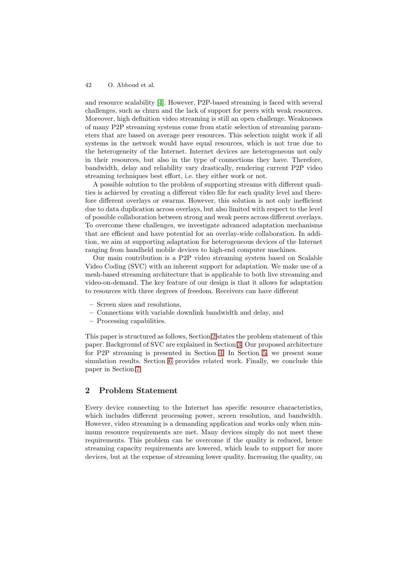and resource scalability [\[4\]](#page-13-0). However, P2P-based streaming is faced with several challenges, such as churn and the lack of support for peers with weak resources. Moreover, high definition video streaming is still an open challenge. Weaknesses of many P2P streaming systems come from static selection of streaming parameters that are based on average peer resources. This selection might work if all systems in the network would have equal resources, which is not true due to the heterogeneity of the Internet. Internet devices are heterogeneous not only in their resources, but also in the type of connections they have. Therefore, bandwidth, delay and reliability vary drastically, rendering current P2P video streaming techniques best effort, i.e. they either work or not.

A possible solution to the problem of supporting streams with different qualities is achieved by creating a different video file for each quality level and therefore different overlays or swarms. However, this solution is not only inefficient due to data duplication across overlays, but also limited with respect to the level of possible collaboration between strong and weak peers across different overlays. To overcome these challenges, we investigate advanced adaptation mechanisms that are efficient and have potential for an overlay-wide collaboration. In addition, we aim at supporting adaptation for heterogeneous devices of the Internet ranging from handheld mobile devices to high-end computer machines.

Our main contribution is a P2P video streaming system based on Scalable Video Coding (SVC) with an inherent support for adaptation. We make use of a mesh-based streaming architecture that is applicable to both live streaming and video-on-demand. The key feature of our design is that it allows for adaptation to resources with three degrees of freedom. Receivers can have different

- Screen sizes and resolutions,
- Connections with variable downlink bandwidth and delay, and
- Processing capabilities.

This paper is structured as follows, Section [2](#page-1-0) states the problem statement of this paper. Background of SVC are explained in Section [3.](#page-2-0) Our proposed architecture for P2P streaming is presented in Section [4.](#page-4-0) In Section [5,](#page-9-0) we present some simulation results. Section [6](#page-11-0) provides related work. Finally, we conclude this paper in Section [7.](#page-12-4)

# <span id="page-1-0"></span>2 Problem Statement

Every device connecting to the Internet has specific resource characteristics, which includes different processing power, screen resolution, and bandwidth. However, video streaming is a demanding application and works only when minimum resource requirements are met. Many devices simply do not meet these requirements. This problem can be overcome if the quality is reduced, hence streaming capacity requirements are lowered, which leads to support for more devices, but at the expense of streaming lower quality. Increasing the quality, on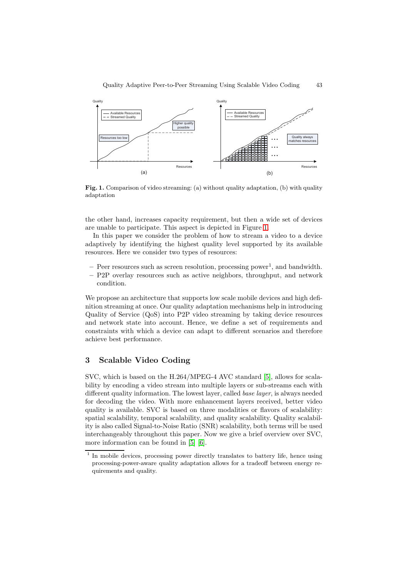<span id="page-2-1"></span>

Fig. 1. Comparison of video streaming: (a) without quality adaptation, (b) with quality adaptation

the other hand, increases capacity requirement, but then a wide set of devices are unable to participate. This aspect is depicted in Figure [1.](#page-2-1)

In this paper we consider the problem of how to stream a video to a device adaptively by identifying the highest quality level supported by its available resources. Here we consider two types of resources:

- Peer resources such as screen resolution, processing power<sup>1</sup>, and bandwidth.
- P2P overlay resources such as active neighbors, throughput, and network condition.

We propose an architecture that supports low scale mobile devices and high definition streaming at once. Our quality adaptation mechanisms help in introducing Quality of Service (QoS) into P2P video streaming by taking device resources and network state into account. Hence, we define a set of requirements and constraints with which a device can adapt to different scenarios and therefore achieve best performance.

# <span id="page-2-0"></span>3 Scalable Video Coding

SVC, which is based on the H.264/MPEG-4 AVC standard [\[5\]](#page-13-1), allows for scalability by encoding a video stream into multiple layers or sub-streams each with different quality information. The lowest layer, called base layer, is always needed for decoding the video. With more enhancement layers received, better video quality is available. SVC is based on three modalities or flavors of scalability: spatial scalability, temporal scalability, and quality scalability. Quality scalability is also called Signal-to-Noise Ratio (SNR) scalability, both terms will be used interchangeably throughout this paper. Now we give a brief overview over SVC, more information can be found in [\[5\]](#page-13-1) [\[6\]](#page-13-2).

<sup>&</sup>lt;sup>1</sup> In mobile devices, processing power directly translates to battery life, hence using processing-power-aware quality adaptation allows for a tradeoff between energy requirements and quality.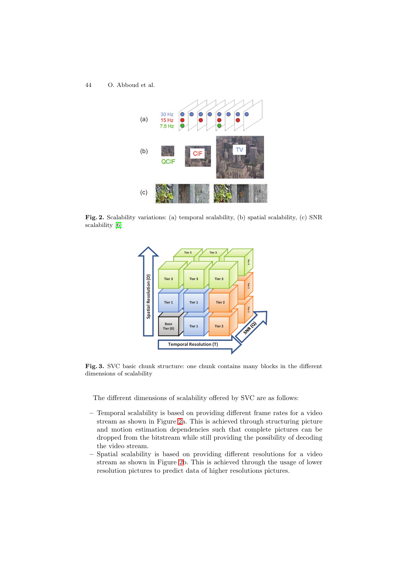<span id="page-3-0"></span>

<span id="page-3-1"></span>Fig. 2. Scalability variations: (a) temporal scalability, (b) spatial scalability, (c) SNR scalability [\[6\]](#page-13-2)



Fig. 3. SVC basic chunk structure: one chunk contains many blocks in the different dimensions of scalability

The different dimensions of scalability offered by SVC are as follows:

- Temporal scalability is based on providing different frame rates for a video stream as shown in Figure [2a](#page-3-0). This is achieved through structuring picture and motion estimation dependencies such that complete pictures can be dropped from the bitstream while still providing the possibility of decoding the video stream.
- Spatial scalability is based on providing different resolutions for a video stream as shown in Figure [2b](#page-3-0). This is achieved through the usage of lower resolution pictures to predict data of higher resolutions pictures.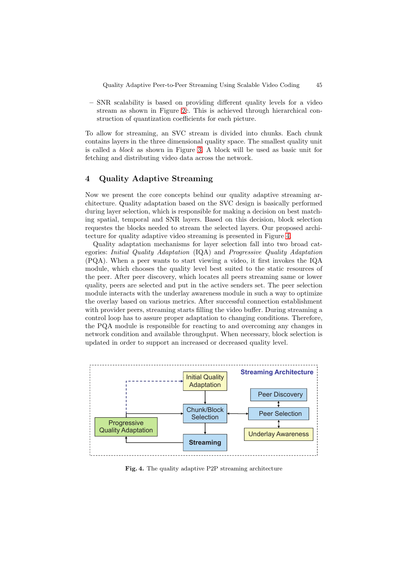– SNR scalability is based on providing different quality levels for a video stream as shown in Figure [2c](#page-3-0). This is achieved through hierarchical construction of quantization coefficients for each picture.

To allow for streaming, an SVC stream is divided into chunks. Each chunk contains layers in the three dimensional quality space. The smallest quality unit is called a block as shown in Figure [3.](#page-3-1) A block will be used as basic unit for fetching and distributing video data across the network.

# <span id="page-4-0"></span>4 Quality Adaptive Streaming

Now we present the core concepts behind our quality adaptive streaming architecture. Quality adaptation based on the SVC design is basically performed during layer selection, which is responsible for making a decision on best matching spatial, temporal and SNR layers. Based on this decision, block selection requestes the blocks needed to stream the selected layers. Our proposed architecture for quality adaptive video streaming is presented in Figure [4.](#page-4-1)

Quality adaptation mechanisms for layer selection fall into two broad categories: Initial Quality Adaptation (IQA) and Progressive Quality Adaptation (PQA). When a peer wants to start viewing a video, it first invokes the IQA module, which chooses the quality level best suited to the static resources of the peer. After peer discovery, which locates all peers streaming same or lower quality, peers are selected and put in the active senders set. The peer selection module interacts with the underlay awareness module in such a way to optimize the overlay based on various metrics. After successful connection establishment with provider peers, streaming starts filling the video buffer. During streaming a control loop has to assure proper adaptation to changing conditions. Therefore, the PQA module is responsible for reacting to and overcoming any changes in network condition and available throughput. When necessary, block selection is updated in order to support an increased or decreased quality level.

<span id="page-4-1"></span>

Fig. 4. The quality adaptive P2P streaming architecture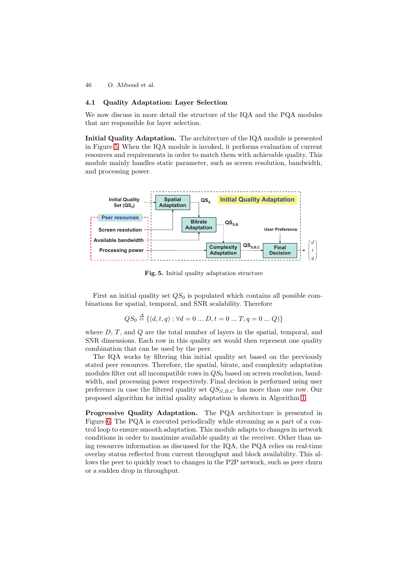#### 4.1 Quality Adaptation: Layer Selection

We now discuss in more detail the structure of the IQA and the PQA modules that are responsible for layer selection.

Initial Quality Adaptation. The architecture of the IQA module is presented in Figure [5.](#page-5-0) When the IQA module is invoked, it performs evaluation of current resources and requirements in order to match them with achievable quality. This module mainly handles static parameter, such as screen resolution, bandwidth, and processing power.

<span id="page-5-0"></span>

Fig. 5. Initial quality adaptation structure

First an initial quality set  $QS_0$  is populated which contains all possible combinations for spatial, temporal, and SNR scalability. Therefore

$$
QS_0 \stackrel{\Delta}{=} \{ (d, t, q) : \forall d = 0 \dots D, t = 0 \dots T, q = 0 \dots Q) \}
$$

where  $D, T$ , and  $Q$  are the total number of layers in the spatial, temporal, and SNR dimensions. Each row in this quality set would then represent one quality combination that can be used by the peer.

The IQA works by filtering this initial quality set based on the previously stated peer resources. Therefore, the spatial, birate, and complexity adaptation modules filter out all incompatible rows in  $QS_0$  based on screen resolution, bandwidth, and processing power respectively. Final decision is performed using user preference in case the filtered quality set  $QS_{S,B,C}$  has more than one row. Our proposed algorithm for initial quality adaptation is shown in Algorithm [1.](#page-6-0)

Progressive Quality Adaptation. The PQA architecture is presented in Figure [6.](#page-6-1) The PQA is executed periodically while streaming as a part of a control loop to ensure smooth adaptation. This module adapts to changes in network conditions in order to maximize available quality at the receiver. Other than using resources information as discussed for the IQA, the PQA relies on real-time overlay status reflected from current throughput and block availability. This allows the peer to quickly react to changes in the P2P network, such as peer churn or a sudden drop in throughput.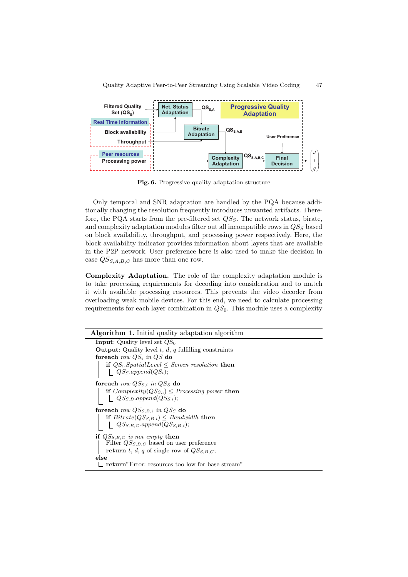<span id="page-6-1"></span>

Quality Adaptive Peer-to-Peer Streaming Using Scalable Video Coding 47

Fig. 6. Progressive quality adaptation structure

Only temporal and SNR adaptation are handled by the PQA because additionally changing the resolution frequently introduces unwanted artifacts. Therefore, the PQA starts from the pre-filtered set  $QS_S$ . The network status, birate, and complexity adaptation modules filter out all incompatible rows in  $QS_S$  based on block availability, throughput, and processing power respectively. Here, the block availability indicator provides information about layers that are available in the P2P network. User preference here is also used to make the decision in case  $QS_{S,A,B,C}$  has more than one row.

Complexity Adaptation. The role of the complexity adaptation module is to take processing requirements for decoding into consideration and to match it with available processing resources. This prevents the video decoder from overloading weak mobile devices. For this end, we need to calculate processing requirements for each layer combination in  $QS_0$ . This module uses a complexity

<span id="page-6-0"></span>

| Algorithm 1. Initial quality adaptation algorithm                                                       |
|---------------------------------------------------------------------------------------------------------|
| <b>Input:</b> Quality level set $QS_0$                                                                  |
| <b>Output:</b> Quality level t, d, q fulfilling constraints                                             |
| foreach row $QS_i$ in $QS$ do                                                                           |
| <b>if</b> $QS_i.SpatialLevel \leq Screen\ resolution\ then \ \lfloor\ QS_S.append(QS_i);$               |
| for each row $QS_{S,i}$ in $QS_S$ do                                                                    |
| <b>if</b> $Complexity(QS_{S,i}) \leq$ Processing power <b>then</b> $\bigcup QS_{S,B}.append(QS_{S,i});$ |
| for each row $QS_{S,B,i}$ in $QS_S$ do                                                                  |
| <b>if</b> $Bitrate(QS_{S,B,i}) \leq Bandwidth$ <b>then</b><br>$\bigcup QS_{S,B,C}.append(QS_{S,B,i});$  |
| if $QS_{S,B,C}$ is not empty then                                                                       |
| Filter $QS_{S,B,C}$ based on user preference                                                            |
| return t, d, q of single row of $QS_{S,B,C}$ ;                                                          |
| else                                                                                                    |
| $\mathsf{\mathsf{L}}$ return" Error: resources too low for base stream"                                 |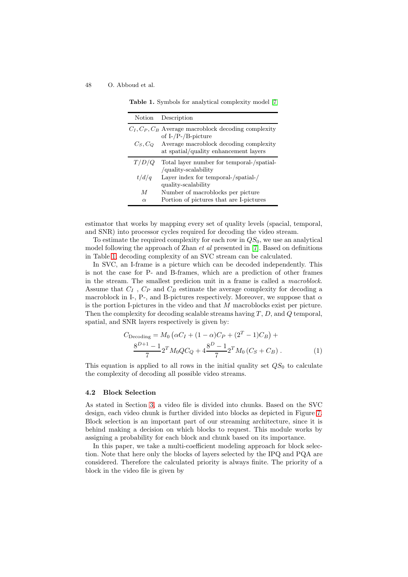<span id="page-7-0"></span>Table 1. Symbols for analytical complexity model [\[7\]](#page-13-3)

| Notion         | Description                                                                                                                                                        |
|----------------|--------------------------------------------------------------------------------------------------------------------------------------------------------------------|
| $C_S, C_O$     | $C_I, C_P, C_B$ Average macroblock decoding complexity<br>of $I$ -/P-/B-picture<br>Average macroblock decoding complexity<br>at spatial/quality enhancement layers |
| T/D/Q<br>t/d/q | Total layer number for temporal-/spatial-<br>/quality-scalability<br>Layer index for temporal-/spatial-/<br>quality-scalability                                    |
| M<br>$\alpha$  | Number of macroblocks per picture<br>Portion of pictures that are I-pictures                                                                                       |

estimator that works by mapping every set of quality levels (spacial, temporal, and SNR) into processor cycles required for decoding the video stream.

To estimate the required complexity for each row in  $QS_0$ , we use an analytical model following the approach of Zhan et al presented in [\[7\]](#page-13-3). Based on definitions in Table [1,](#page-7-0) decoding complexity of an SVC stream can be calculated.

In SVC, an I-frame is a picture which can be decoded independently. This is not the case for P- and B-frames, which are a prediction of other frames in the stream. The smallest predicion unit in a frame is called a macroblock. Assume that  $C_I$  ,  $C_P$  and  $C_B$  estimate the average complexity for decoding a macroblock in I-, P-, and B-pictures respectively. Moreover, we suppose that  $\alpha$ is the portion I-pictures in the video and that M macroblocks exist per picture. Then the complexity for decoding scalable streams having  $T$ ,  $D$ , and  $Q$  temporal, spatial, and SNR layers respectively is given by:

$$
C_{\text{Decoding}} = M_0 \left( \alpha C_I + (1 - \alpha) C_P + (2^T - 1) C_B \right) +
$$
  

$$
\frac{8^{D+1} - 1}{7} 2^T M_0 Q C_Q + 4 \frac{8^D - 1}{7} 2^T M_0 (C_S + C_B) .
$$
 (1)

This equation is applied to all rows in the initial quality set  $QS<sub>0</sub>$  to calculate the complexity of decoding all possible video streams.

# 4.2 Block Selection

As stated in Section [3,](#page-2-0) a video file is divided into chunks. Based on the SVC design, each video chunk is further divided into blocks as depicted in Figure [7.](#page-8-0) Block selection is an important part of our streaming architecture, since it is behind making a decision on which blocks to request. This module works by assigning a probability for each block and chunk based on its importance.

In this paper, we take a multi-coefficient modeling approach for block selection. Note that here only the blocks of layers selected by the IPQ and PQA are considered. Therefore the calculated priority is always finite. The priority of a block in the video file is given by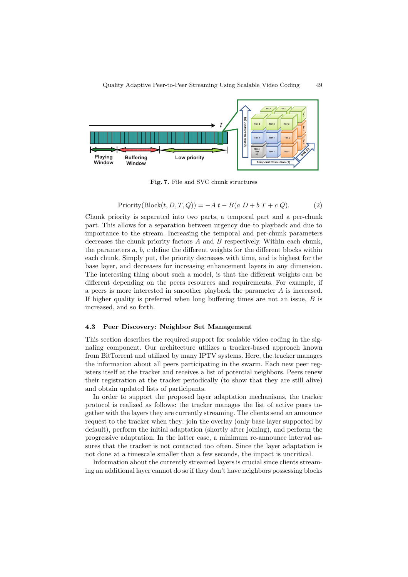<span id="page-8-0"></span>

Fig. 7. File and SVC chunk structures

$$
Priority(\text{Block}(t, D, T, Q)) = -A t - B(a D + b T + c Q). \tag{2}
$$

Chunk priority is separated into two parts, a temporal part and a per-chunk part. This allows for a separation between urgency due to playback and due to importance to the stream. Increasing the temporal and per-chunk parameters decreases the chunk priority factors A and B respectively. Within each chunk, the parameters  $a, b, c$  define the different weights for the different blocks within each chunk. Simply put, the priority decreases with time, and is highest for the base layer, and decreases for increasing enhancement layers in any dimension. The interesting thing about such a model, is that the different weights can be different depending on the peers resources and requirements. For example, if a peers is more interested in smoother playback the parameter A is increased. If higher quality is preferred when long buffering times are not an issue,  $B$  is increased, and so forth.

#### <span id="page-8-1"></span>4.3 Peer Discovery: Neighbor Set Management

This section describes the required support for scalable video coding in the signaling component. Our architecture utilizes a tracker-based approach known from BitTorrent and utilized by many IPTV systems. Here, the tracker manages the information about all peers participating in the swarm. Each new peer registers itself at the tracker and receives a list of potential neighbors. Peers renew their registration at the tracker periodically (to show that they are still alive) and obtain updated lists of participants.

In order to support the proposed layer adaptation mechanisms, the tracker protocol is realized as follows: the tracker manages the list of active peers together with the layers they are currently streaming. The clients send an announce request to the tracker when they: join the overlay (only base layer supported by default), perform the initial adaptation (shortly after joining), and perform the progressive adaptation. In the latter case, a minimum re-announce interval assures that the tracker is not contacted too often. Since the layer adaptation is not done at a timescale smaller than a few seconds, the impact is uncritical.

Information about the currently streamed layers is crucial since clients streaming an additional layer cannot do so if they don't have neighbors possessing blocks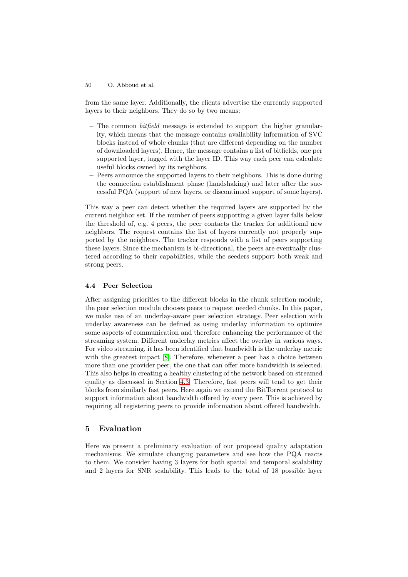from the same layer. Additionally, the clients advertise the currently supported layers to their neighbors. They do so by two means:

- $-$  The common *bitfield* message is extended to support the higher granularity, which means that the message contains availability information of SVC blocks instead of whole chunks (that are different depending on the number of downloaded layers). Hence, the message contains a list of bitfields, one per supported layer, tagged with the layer ID. This way each peer can calculate useful blocks owned by its neighbors.
- Peers announce the supported layers to their neighbors. This is done during the connection establishment phase (handshaking) and later after the successful PQA (support of new layers, or discontinued support of some layers).

This way a peer can detect whether the required layers are supported by the current neighbor set. If the number of peers supporting a given layer falls below the threshold of, e.g. 4 peers, the peer contacts the tracker for additional new neighbors. The request contains the list of layers currently not properly supported by the neighbors. The tracker responds with a list of peers supporting these layers. Since the mechanism is bi-directional, the peers are eventually clustered according to their capabilities, while the seeders support both weak and strong peers.

#### 4.4 Peer Selection

After assigning priorities to the different blocks in the chunk selection module, the peer selection module chooses peers to request needed chunks. In this paper, we make use of an underlay-aware peer selection strategy. Peer selection with underlay awareness can be defined as using underlay information to optimize some aspects of communication and therefore enhancing the performance of the streaming system. Different underlay metrics affect the overlay in various ways. For video streaming, it has been identified that bandwidth is the underlay metric with the greatest impact [\[8\]](#page-13-4). Therefore, whenever a peer has a choice between more than one provider peer, the one that can offer more bandwidth is selected. This also helps in creating a healthy clustering of the network based on streamed quality as discussed in Section [4.3.](#page-8-1) Therefore, fast peers will tend to get their blocks from similarly fast peers. Here again we extend the BitTorrent protocol to support information about bandwidth offered by every peer. This is achieved by requiring all registering peers to provide information about offered bandwidth.

### <span id="page-9-0"></span>5 Evaluation

Here we present a preliminary evaluation of our proposed quality adaptation mechanisms. We simulate changing parameters and see how the PQA reacts to them. We consider having 3 layers for both spatial and temporal scalability and 2 layers for SNR scalability. This leads to the total of 18 possible layer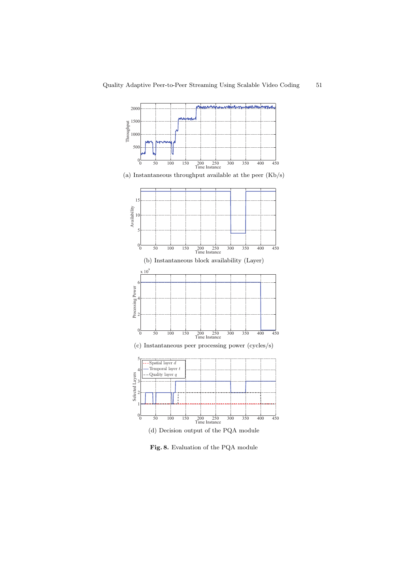<span id="page-10-0"></span>

Fig. 8. Evaluation of the PQA module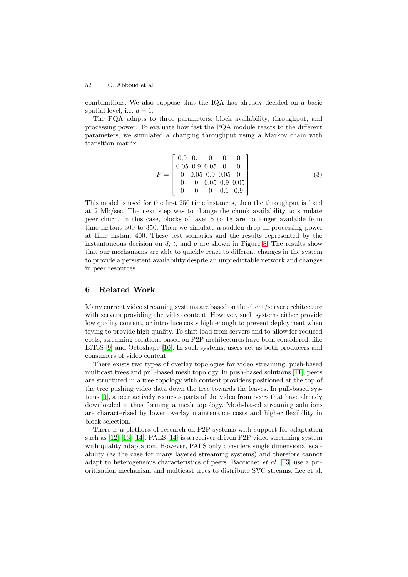combinations. We also suppose that the IQA has already decided on a basic spatial level, i.e.  $d = 1$ .

The PQA adapts to three parameters: block availability, throughput, and processing power. To evaluate how fast the PQA module reacts to the different parameters, we simulated a changing throughput using a Markov chain with transition matrix

$$
P = \begin{bmatrix} 0.9 & 0.1 & 0 & 0 & 0 \\ 0.05 & 0.9 & 0.05 & 0 & 0 \\ 0 & 0.05 & 0.9 & 0.05 & 0 \\ 0 & 0 & 0.05 & 0.9 & 0.05 \\ 0 & 0 & 0 & 0.1 & 0.9 \end{bmatrix}
$$
(3)

This model is used for the first 250 time instances, then the throughput is fixed at 2 Mb/sec. The next step was to change the chunk availability to simulate peer churn. In this case, blocks of layer 5 to 18 are no longer available from time instant 300 to 350. Then we simulate a sudden drop in processing power at time instant 400. These test scenarios and the results represented by the instantaneous decision on  $d$ ,  $t$ , and  $q$  are shown in Figure [8.](#page-10-0) The results show that our mechanisms are able to quickly react to different changes in the system to provide a persistent availability despite an unpredictable network and changes in peer resources.

### <span id="page-11-0"></span>6 Related Work

Many current video streaming systems are based on the client/server architecture with servers providing the video content. However, such systems either provide low quality content, or introduce costs high enough to prevent deployment when trying to provide high quality. To shift load from servers and to allow for reduced costs, streaming solutions based on P2P architectures have been considered, like BiToS [\[9\]](#page-13-5) and Octoshape [\[10\]](#page-13-6). In such systems, users act as both producers and consumers of video content.

There exists two types of overlay topologies for video streaming, push-based multicast trees and pull-based mesh topology. In push-based solutions [\[11\]](#page-13-7), peers are structured in a tree topology with content providers positioned at the top of the tree pushing video data down the tree towards the leaves. In pull-based systems [\[9\]](#page-13-5), a peer actively requests parts of the video from peers that have already downloaded it thus forming a mesh topology. Mesh-based streaming solutions are characterized by lower overlay maintenance costs and higher flexibility in block selection.

There is a plethora of research on P2P systems with support for adaptation such as [\[12\]](#page-13-8) [\[13\]](#page-13-9) [\[14\]](#page-13-10). PALS [\[14\]](#page-13-10) is a receiver driven P2P video streaming system with quality adaptation. However, PALS only considers single dimensional scalability (as the case for many layered streaming systems) and therefore cannot adapt to heterogeneous characteristics of peers. Baccichet et al. [\[13\]](#page-13-9) use a prioritization mechanism and multicast trees to distribute SVC streams. Lee et al.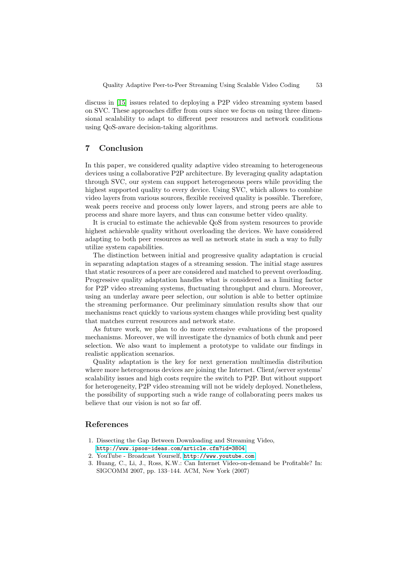discuss in [\[15\]](#page-13-11) issues related to deploying a P2P video streaming system based on SVC. These approaches differ from ours since we focus on using three dimensional scalability to adapt to different peer resources and network conditions using QoS-aware decision-taking algorithms.

# <span id="page-12-4"></span>7 Conclusion

In this paper, we considered quality adaptive video streaming to heterogeneous devices using a collaborative P2P architecture. By leveraging quality adaptation through SVC, our system can support heterogeneous peers while providing the highest supported quality to every device. Using SVC, which allows to combine video layers from various sources, flexible received quality is possible. Therefore, weak peers receive and process only lower layers, and strong peers are able to process and share more layers, and thus can consume better video quality.

It is crucial to estimate the achievable QoS from system resources to provide highest achievable quality without overloading the devices. We have considered adapting to both peer resources as well as network state in such a way to fully utilize system capabilities.

The distinction between initial and progressive quality adaptation is crucial in separating adaptation stages of a streaming session. The initial stage assures that static resources of a peer are considered and matched to prevent overloading. Progressive quality adaptation handles what is considered as a limiting factor for P2P video streaming systems, fluctuating throughput and churn. Moreover, using an underlay aware peer selection, our solution is able to better optimize the streaming performance. Our preliminary simulation results show that our mechanisms react quickly to various system changes while providing best quality that matches current resources and network state.

As future work, we plan to do more extensive evaluations of the proposed mechanisms. Moreover, we will investigate the dynamics of both chunk and peer selection. We also want to implement a prototype to validate our findings in realistic application scenarios.

Quality adaptation is the key for next generation multimedia distribution where more heterogenous devices are joining the Internet. Client/server systems' scalability issues and high costs require the switch to P2P. But without support for heterogeneity, P2P video streaming will not be widely deployed. Nonetheless, the possibility of supporting such a wide range of collaborating peers makes us believe that our vision is not so far off.

### References

- <span id="page-12-3"></span><span id="page-12-0"></span>1. Dissecting the Gap Between Downloading and Streaming Video, <http://www.ipsos-ideas.com/article.cfm?id=3804>
- <span id="page-12-2"></span><span id="page-12-1"></span>2. YouTube - Broadcast Yourself, <http://www.youtube.com>
- 3. Huang, C., Li, J., Ross, K.W.: Can Internet Video-on-demand be Profitable? In: SIGCOMM 2007, pp. 133–144. ACM, New York (2007)